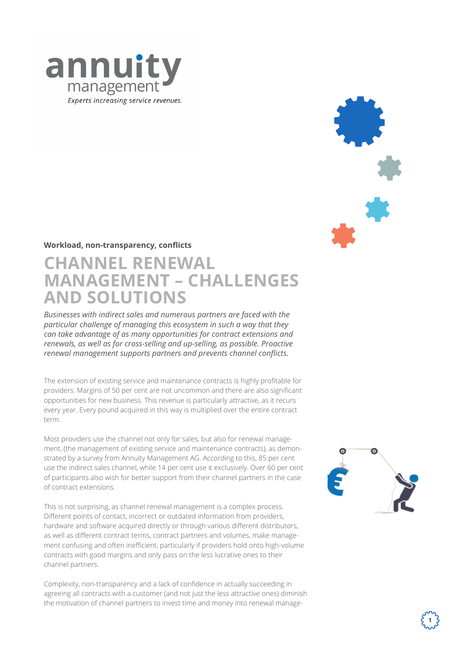

## **Workload, non-transparency, conflicts**

# **CHANNEL RENEWAL MANAGEMENT - CHALLENGES AND SOLUTIONS** *Wir sind Ihr Experte im*

*Businesses with indirect sales and numerous partners are faced with the Service Revenue Management particular challenge of managing this ecosystem in such a way that they can take advantage of as many opportunities for contract extensions and Die Annuity-Management-Gruppe spezialisiert sich auf das Lifecycle Managerenewals, as well as for cross-selling and up-selling, as possible. Proactive ment wiederkehrender Umsätze. Unser Service und unsere Expertise bieten renewal management supports partners and prevents channel conflicts. Technologieherstellern sowie deren Vertriebspartnern die Möglichkeit, neue Wege in der Optimierung und der Betreuung ihrer wiederkehrenden Umsätze* 

The extension of existing service and maintenance contracts is highly profitable for providers. Margins of 50 per cent are not uncommon and there are also significant .<br>opportunities for new business. This revenue is particularly attractive, as it recurs every year. Every pound acquired in this way is multiplied over the entire contract *Profitieren auch Sie von mehr wiederkehrenden Umsätzen, besseren Verlänge*term.

Most providers use the channel not only for sales, but also for renewal managemost providers use the channer not only for sales, but also for renewarmanage-<br>ment, (the management of existing service and maintenance contracts), as demonstrated by a survey from Annuity Management AG. According to this, 85 per cent *100% Fokus auf Ihre wiederkehrenden Umsätze* use the indirect sales channel, while 14 per cent use it exclusively. Over 60 per cent of participants also wish for better support from their channel partners in the case of contract extensions. den Centuse it exclusively. Over 60 per Centu die Gewinnung von Zusatzgeschäften und profitieren von wertvollem Kunden-

This is not surprising, as channel renewal management is a complex process. Different points of contact, incorrect or outdated information from providers, hardware and software acquired directly or through various different distributors, as well as different contract terms, contract partners and volumes, make manage-*Mehr Umsatz, Mehr Ertrag Schnelle Durchlaufzeiten* ment confusing and often inefficient, particularly if providers hold onto high-volume *Höhere Verlängerungsquoten Höchste Qualität, effiziente*  contracts with good margins and only pass on the less lucrative ones to their channel partners. randia umsätzernen us a complex process.

Complexity, non-transparency and a lack of confidence in actually succeeding in agreeing all contracts with a customer (and not just the less attractive ones) diminish the motivation of channel partners to invest time and money into renewal manage-



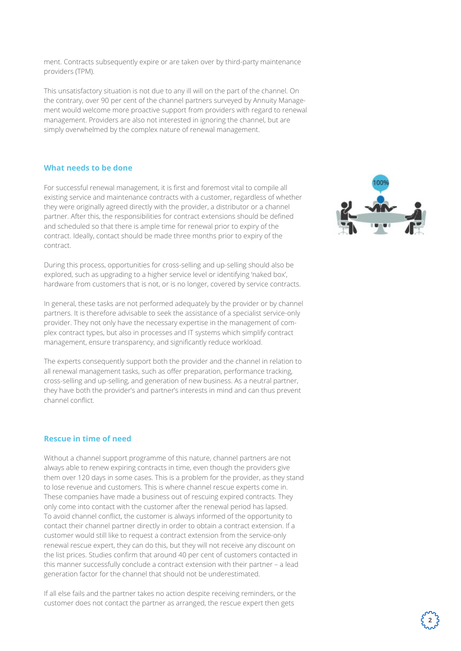ment. Contracts subsequently expire or are taken over by third-party maintenance providers (TPM).

This unsatisfactory situation is not due to any ill will on the part of the channel. On the contrary, over 90 per cent of the channel partners surveyed by Annuity Management would welcome more proactive support from providers with regard to renewal management. Providers are also not interested in ignoring the channel, but are simply overwhelmed by the complex nature of renewal management.

#### **What needs to be done**

For successful renewal management, it is first and foremost vital to compile all existing service and maintenance contracts with a customer, regardless of whether they were originally agreed directly with the provider, a distributor or a channel partner. After this, the responsibilities for contract extensions should be defined and scheduled so that there is ample time for renewal prior to expiry of the contract. Ideally, contact should be made three months prior to expiry of the contract.

During this process, opportunities for cross-selling and up-selling should also be explored, such as upgrading to a higher service level or identifying 'naked box', hardware from customers that is not, or is no longer, covered by service contracts.

In general, these tasks are not performed adequately by the provider or by channel partners. It is therefore advisable to seek the assistance of a specialist service-only provider. They not only have the necessary expertise in the management of complex contract types, but also in processes and IT systems which simplify contract management, ensure transparency, and significantly reduce workload.

The experts consequently support both the provider and the channel in relation to all renewal management tasks, such as offer preparation, performance tracking, cross-selling and up-selling, and generation of new business. As a neutral partner, they have both the provider's and partner's interests in mind and can thus prevent channel conflict.

## **Rescue in time of need**

Without a channel support programme of this nature, channel partners are not always able to renew expiring contracts in time, even though the providers give them over 120 days in some cases. This is a problem for the provider, as they stand to lose revenue and customers. This is where channel rescue experts come in. These companies have made a business out of rescuing expired contracts. They only come into contact with the customer after the renewal period has lapsed. To avoid channel conflict, the customer is always informed of the opportunity to contact their channel partner directly in order to obtain a contract extension. If a customer would still like to request a contract extension from the service-only renewal rescue expert, they can do this, but they will not receive any discount on the list prices. Studies confirm that around 40 per cent of customers contacted in this manner successfully conclude a contract extension with their partner – a lead generation factor for the channel that should not be underestimated.

If all else fails and the partner takes no action despite receiving reminders, or the customer does not contact the partner as arranged, the rescue expert then gets

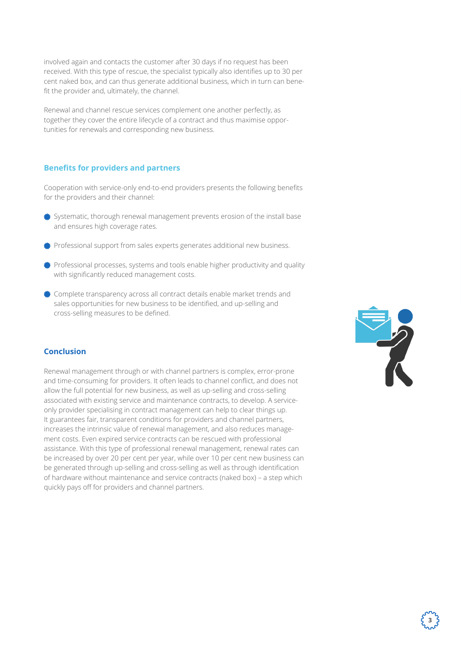involved again and contacts the customer after 30 days if no request has been received. With this type of rescue, the specialist typically also identifies up to 30 per cent naked box, and can thus generate additional business, which in turn can benefit the provider and, ultimately, the channel.

Renewal and channel rescue services complement one another perfectly, as together they cover the entire lifecycle of a contract and thus maximise opportunities for renewals and corresponding new business.

#### **Benefits for providers and partners**

Cooperation with service-only end-to-end providers presents the following benefits for the providers and their channel:

- Systematic, thorough renewal management prevents erosion of the install base and ensures high coverage rates.
- Professional support from sales experts generates additional new business.
- $*$  Professional processes, systems and tools enable higher productivity and quality with significantly reduced management costs.
- Complete transparency across all contract details enable market trends and sales opportunities for new business to be identified, and up-selling and cross-selling measures to be defined.

# **Conclusion**

Renewal management through or with channel partners is complex, error-prone and time-consuming for providers. It often leads to channel conflict, and does not allow the full potential for new business, as well as up-selling and cross-selling associated with existing service and maintenance contracts, to develop. A serviceonly provider specialising in contract management can help to clear things up. It guarantees fair, transparent conditions for providers and channel partners, increases the intrinsic value of renewal management, and also reduces management costs. Even expired service contracts can be rescued with professional assistance. With this type of professional renewal management, renewal rates can be increased by over 20 per cent per year, while over 10 per cent new business can be generated through up-selling and cross-selling as well as through identification of hardware without maintenance and service contracts (naked box) – a step which quickly pays off for providers and channel partners.